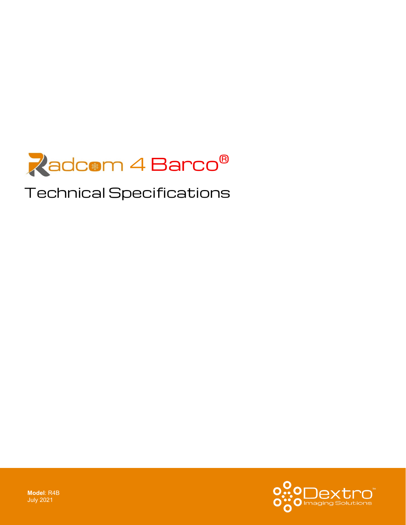

# Technical Specifications



**Model**: R4B July 2021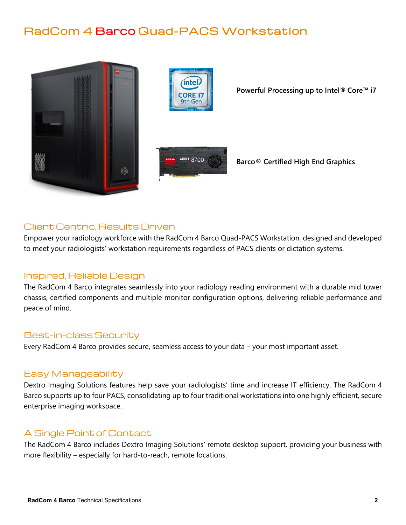# RadCom 4 Barco Quad-PACS Workstation





**Powerful Processing up to Intel® Core™ i7**



**Barco® Certified High End Graphics**

## Client Centric, Results Driven

Empower your radiology workforce with the RadCom 4 Barco Quad-PACS Workstation, designed and developed to meet your radiologists' workstation requirements regardless of PACS clients or dictation systems.

### Inspired, Reliable Design

The RadCom 4 Barco integrates seamlessly into your radiology reading environment with a durable mid tower chassis, certified components and multiple monitor configuration options, delivering reliable performance and peace of mind.

#### Best-in-class Security

Every RadCom 4 Barco provides secure, seamless access to your data – your most important asset.

#### Easy Manageability

Dextro Imaging Solutions features help save your radiologists' time and increase IT efficiency. The RadCom 4 Barco supports up to four PACS, consolidating up to four traditional workstations into one highly efficient, secure enterprise imaging workspace.

### A Single Point of Contact

The RadCom 4 Barco includes Dextro Imaging Solutions' remote desktop support, providing your business with more flexibility – especially for hard-to-reach, remote locations.